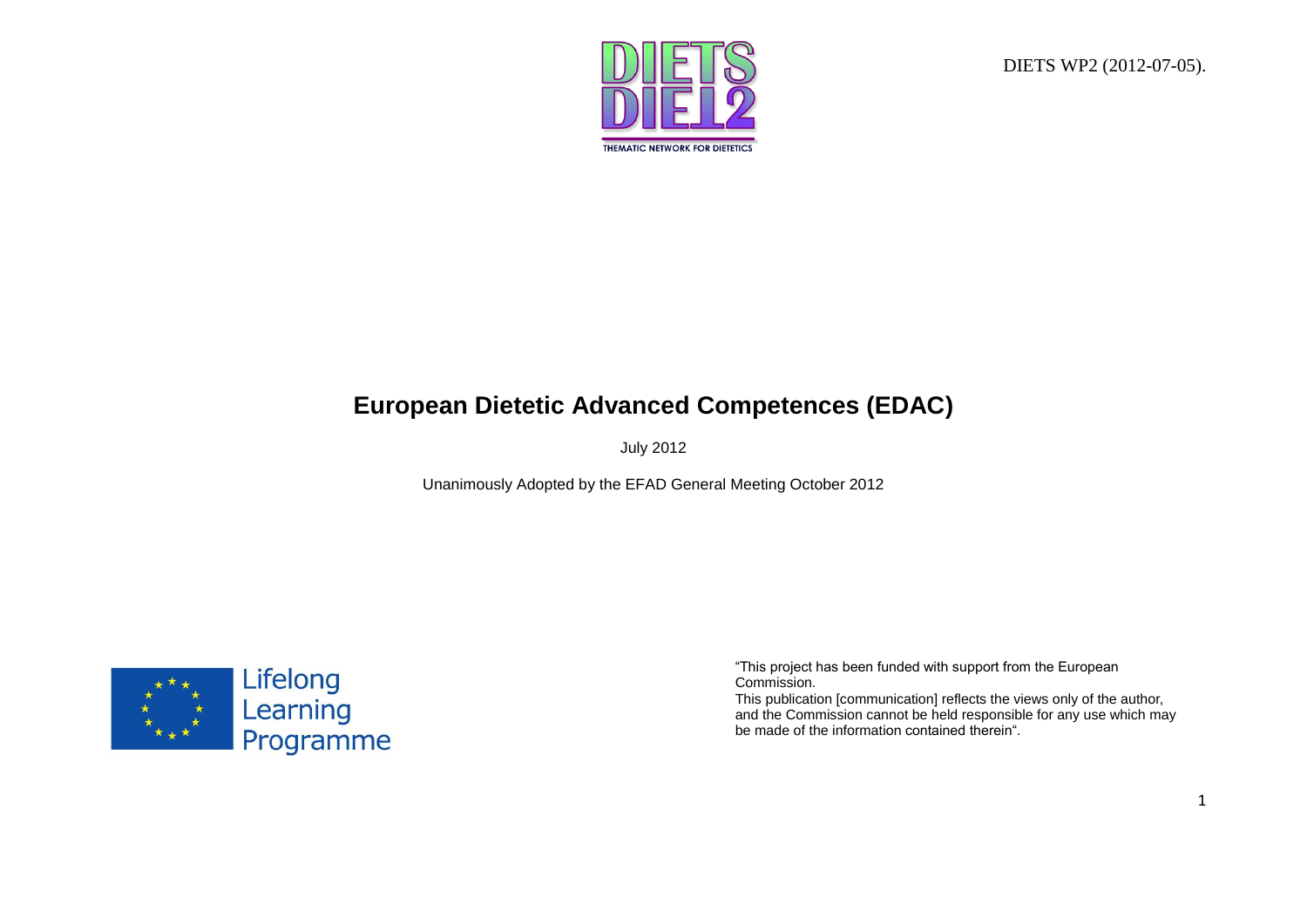DIETS WP2 (2012-07-05).



# **European Dietetic Advanced Competences (EDAC)**

July 2012

Unanimously Adopted by the EFAD General Meeting October 2012



"This project has been funded with support from the European Commission.

This publication [communication] reflects the views only of the author, and the Commission cannot be held responsible for any use which may be made of the information contained therein".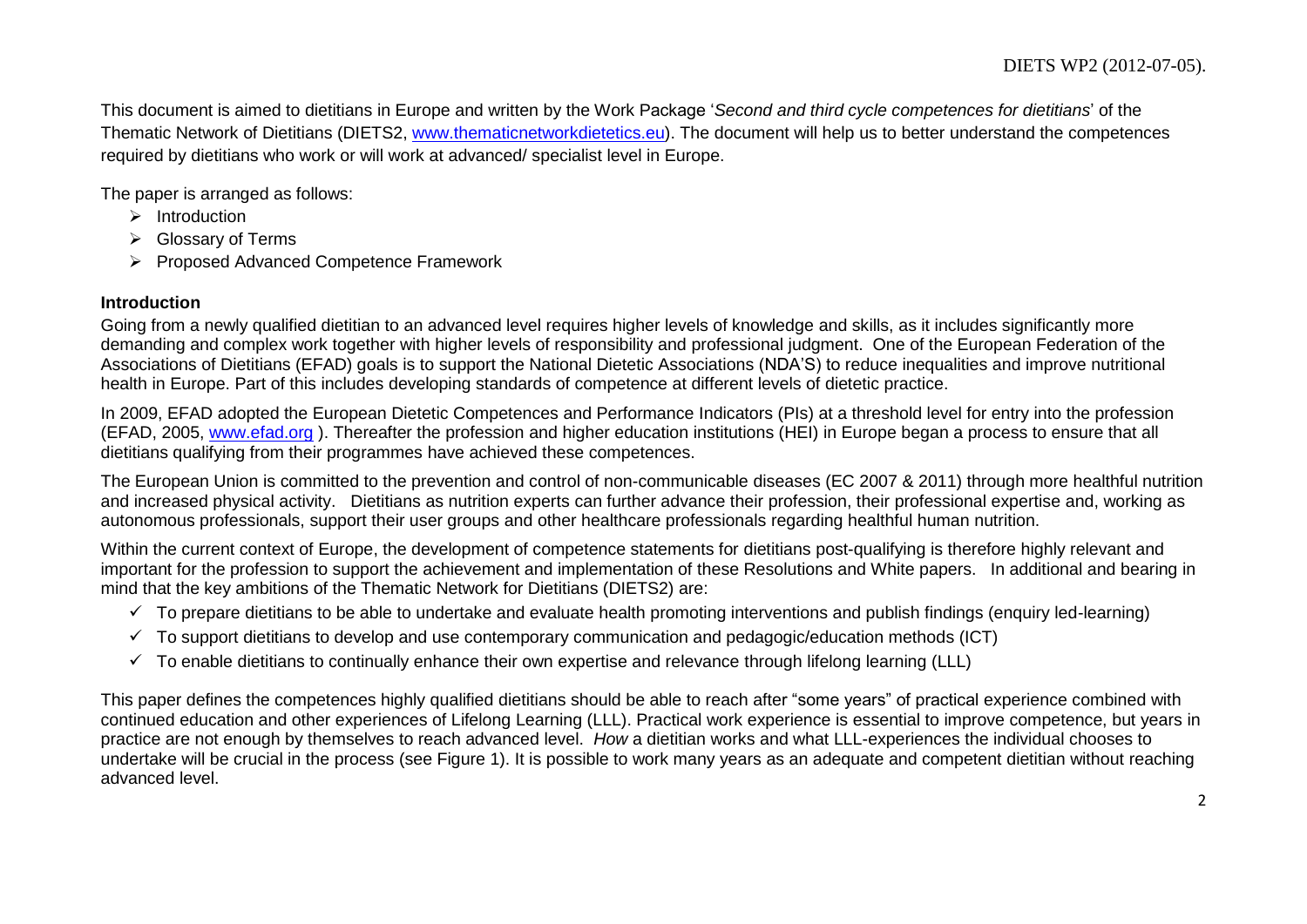This document is aimed to dietitians in Europe and written by the Work Package '*Second and third cycle competences for dietitians*' of the Thematic Network of Dietitians (DIETS2, [www.thematicnetworkdietetics.eu\)](http://www.thematicnetworkdietetics.eu/). The document will help us to better understand the competences required by dietitians who work or will work at advanced/ specialist level in Europe.

The paper is arranged as follows:

- $\triangleright$  Introduction
- **►** Glossary of Terms
- Proposed Advanced Competence Framework

### **Introduction**

Going from a newly qualified dietitian to an advanced level requires higher levels of knowledge and skills, as it includes significantly more demanding and complex work together with higher levels of responsibility and professional judgment. One of the European Federation of the Associations of Dietitians (EFAD) goals is to support the National Dietetic Associations (NDA'S) to reduce inequalities and improve nutritional health in Europe. Part of this includes developing standards of competence at different levels of dietetic practice.

In 2009, EFAD adopted the European Dietetic Competences and Performance Indicators (PIs) at a threshold level for entry into the profession (EFAD, 2005, [www.efad.org](http://www.efad.org/) ). Thereafter the profession and higher education institutions (HEI) in Europe began a process to ensure that all dietitians qualifying from their programmes have achieved these competences.

The European Union is committed to the prevention and control of non-communicable diseases (EC 2007 & 2011) through more healthful nutrition and increased physical activity. Dietitians as nutrition experts can further advance their profession, their professional expertise and, working as autonomous professionals, support their user groups and other healthcare professionals regarding healthful human nutrition.

Within the current context of Europe, the development of competence statements for dietitians post-qualifying is therefore highly relevant and important for the profession to support the achievement and implementation of these Resolutions and White papers. In additional and bearing in mind that the key ambitions of the Thematic Network for Dietitians (DIETS2) are:

- $\checkmark$  To prepare dietitians to be able to undertake and evaluate health promoting interventions and publish findings (enquiry led-learning)
- $\checkmark$  To support dietitians to develop and use contemporary communication and pedagogic/education methods (ICT)
- $\checkmark$  To enable dietitians to continually enhance their own expertise and relevance through lifelong learning (LLL)

This paper defines the competences highly qualified dietitians should be able to reach after "some years" of practical experience combined with continued education and other experiences of Lifelong Learning (LLL). Practical work experience is essential to improve competence, but years in practice are not enough by themselves to reach advanced level. *How* a dietitian works and what LLL-experiences the individual chooses to undertake will be crucial in the process (see Figure 1). It is possible to work many years as an adequate and competent dietitian without reaching advanced level.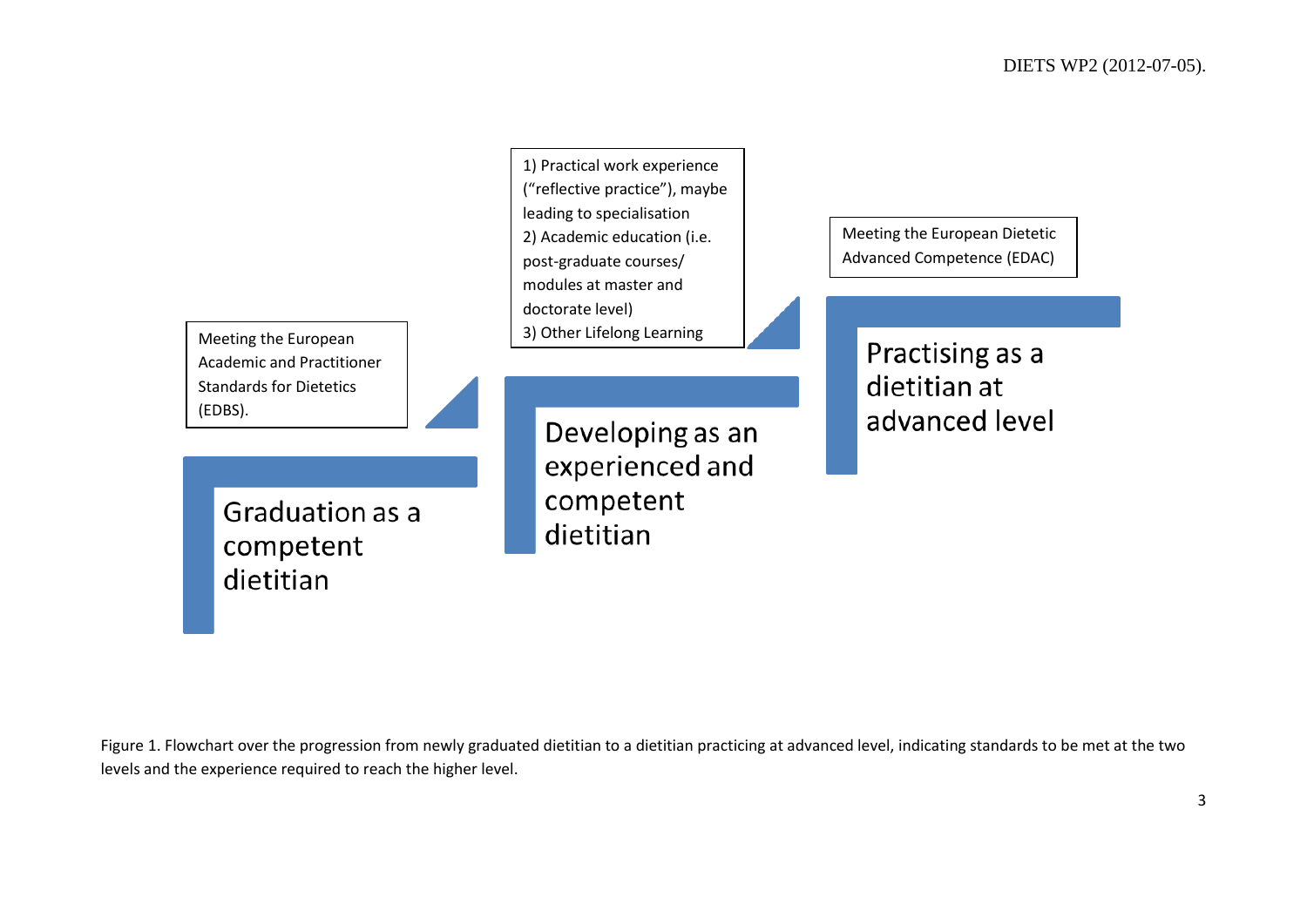Meeting the European Academic and Practitioner Standards for Dietetics (EDBS).

> Graduation as a competent dietitian

1) Practical work experience ("reflective practice"), maybe leading to specialisation 2) Academic education (i.e. post-graduate courses/ modules at master and doctorate level) 3) Other Lifelong Learning

> Developing as an experienced and competent dietitian

Meeting the European Dietetic Advanced Competence (EDAC)

> Practising as a dietitian at advanced level

Figure 1. Flowchart over the progression from newly graduated dietitian to a dietitian practicing at advanced level, indicating standards to be met at the two levels and the experience required to reach the higher level.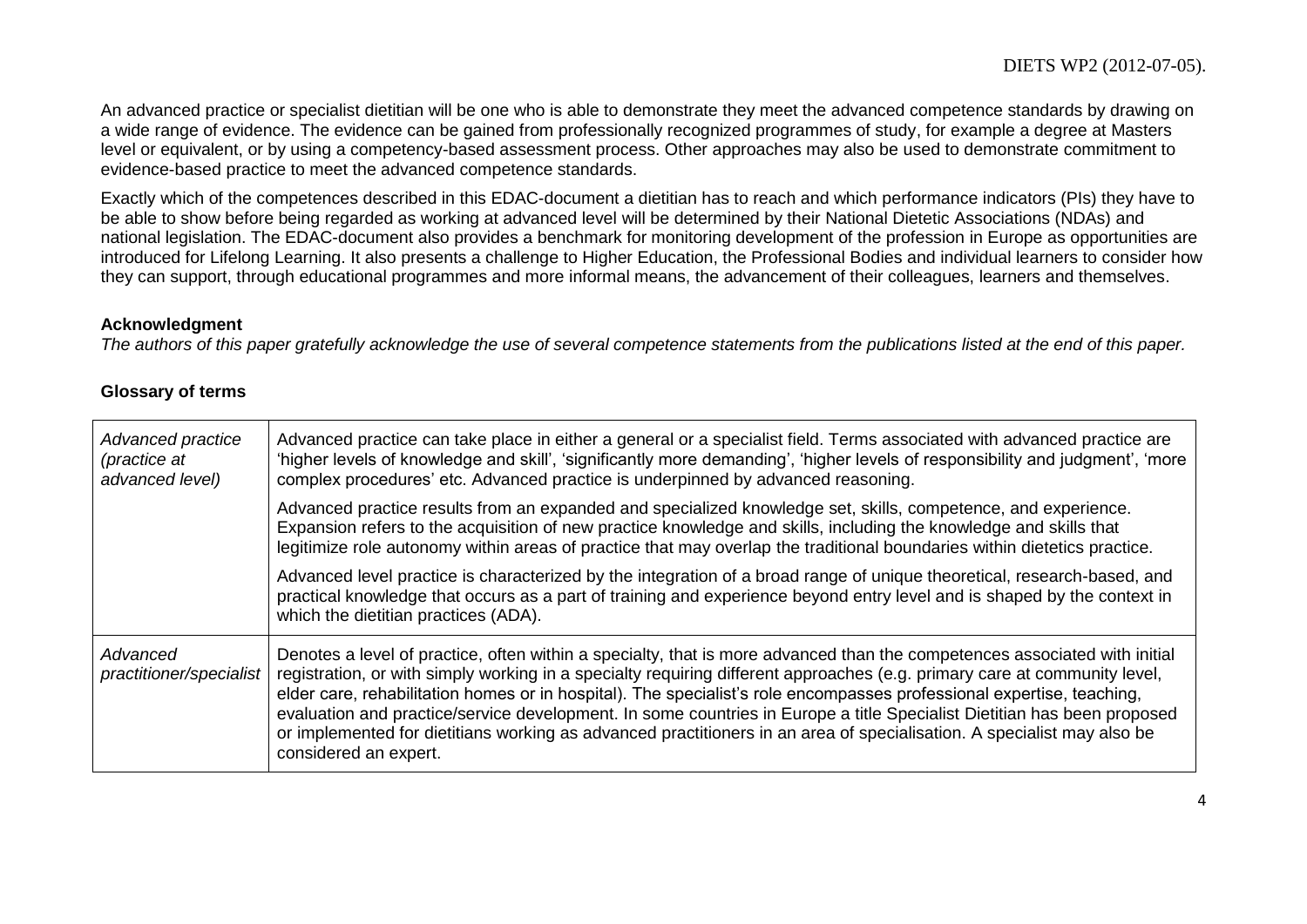An advanced practice or specialist dietitian will be one who is able to demonstrate they meet the advanced competence standards by drawing on a wide range of evidence. The evidence can be gained from professionally recognized programmes of study, for example a degree at Masters level or equivalent, or by using a competency-based assessment process. Other approaches may also be used to demonstrate commitment to evidence-based practice to meet the advanced competence standards.

Exactly which of the competences described in this EDAC-document a dietitian has to reach and which performance indicators (PIs) they have to be able to show before being regarded as working at advanced level will be determined by their National Dietetic Associations (NDAs) and national legislation. The EDAC-document also provides a benchmark for monitoring development of the profession in Europe as opportunities are introduced for Lifelong Learning. It also presents a challenge to Higher Education, the Professional Bodies and individual learners to consider how they can support, through educational programmes and more informal means, the advancement of their colleagues, learners and themselves.

#### **Acknowledgment**

*The authors of this paper gratefully acknowledge the use of several competence statements from the publications listed at the end of this paper.*

#### **Glossary of terms**

| Advanced practice<br>(practice at<br>advanced level) | Advanced practice can take place in either a general or a specialist field. Terms associated with advanced practice are<br>'higher levels of knowledge and skill', 'significantly more demanding', 'higher levels of responsibility and judgment', 'more<br>complex procedures' etc. Advanced practice is underpinned by advanced reasoning.                                                                                                                                                                                                                                                                                                                  |
|------------------------------------------------------|---------------------------------------------------------------------------------------------------------------------------------------------------------------------------------------------------------------------------------------------------------------------------------------------------------------------------------------------------------------------------------------------------------------------------------------------------------------------------------------------------------------------------------------------------------------------------------------------------------------------------------------------------------------|
|                                                      | Advanced practice results from an expanded and specialized knowledge set, skills, competence, and experience.<br>Expansion refers to the acquisition of new practice knowledge and skills, including the knowledge and skills that<br>legitimize role autonomy within areas of practice that may overlap the traditional boundaries within dietetics practice.                                                                                                                                                                                                                                                                                                |
|                                                      | Advanced level practice is characterized by the integration of a broad range of unique theoretical, research-based, and<br>practical knowledge that occurs as a part of training and experience beyond entry level and is shaped by the context in<br>which the dietitian practices (ADA).                                                                                                                                                                                                                                                                                                                                                                    |
| Advanced<br>practitioner/specialist                  | Denotes a level of practice, often within a specialty, that is more advanced than the competences associated with initial<br>registration, or with simply working in a specialty requiring different approaches (e.g. primary care at community level,<br>elder care, rehabilitation homes or in hospital). The specialist's role encompasses professional expertise, teaching,<br>evaluation and practice/service development. In some countries in Europe a title Specialist Dietitian has been proposed<br>or implemented for dietitians working as advanced practitioners in an area of specialisation. A specialist may also be<br>considered an expert. |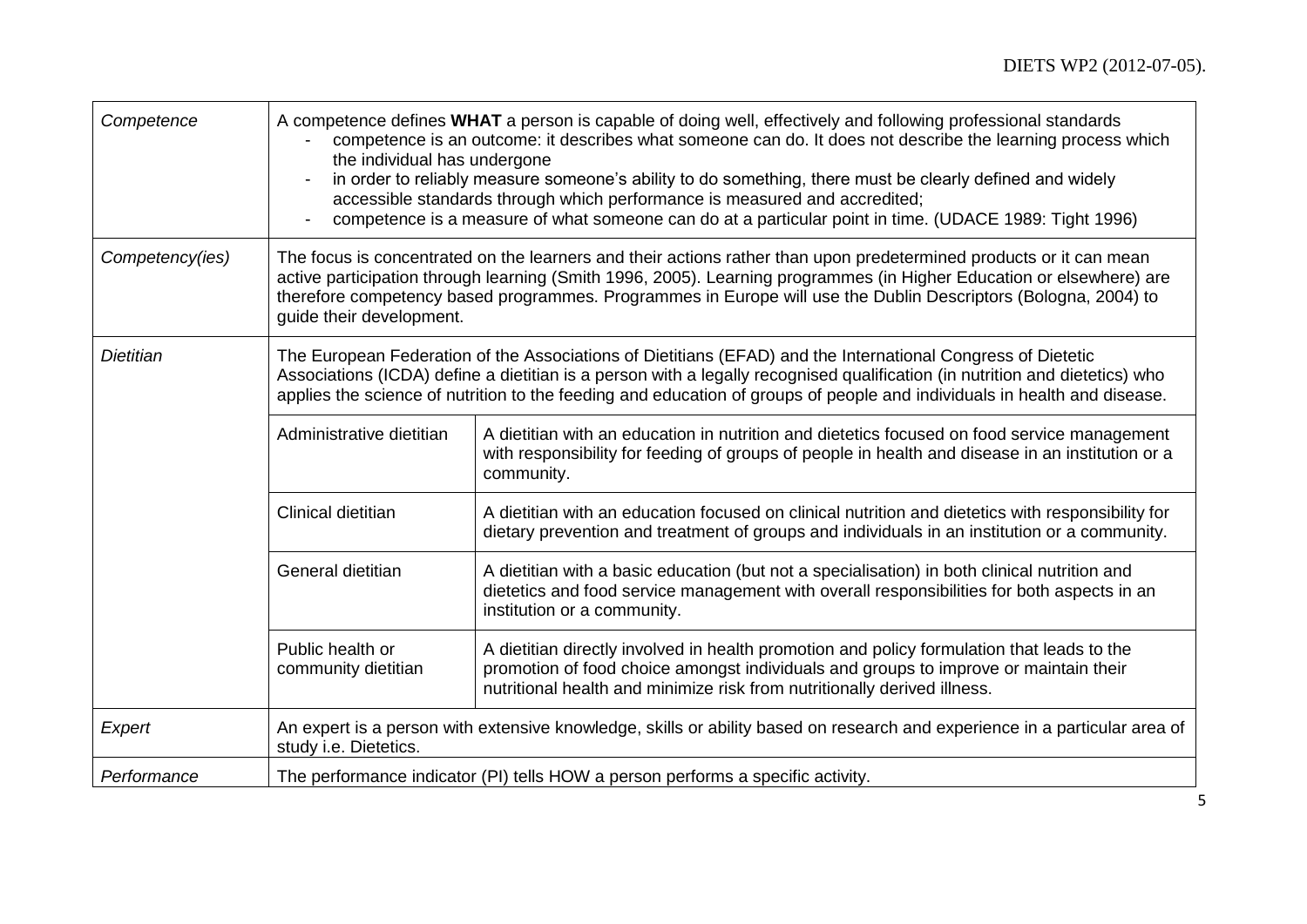| Competence       | the individual has undergone            | A competence defines WHAT a person is capable of doing well, effectively and following professional standards<br>competence is an outcome: it describes what someone can do. It does not describe the learning process which<br>in order to reliably measure someone's ability to do something, there must be clearly defined and widely<br>accessible standards through which performance is measured and accredited;<br>competence is a measure of what someone can do at a particular point in time. (UDACE 1989: Tight 1996) |
|------------------|-----------------------------------------|----------------------------------------------------------------------------------------------------------------------------------------------------------------------------------------------------------------------------------------------------------------------------------------------------------------------------------------------------------------------------------------------------------------------------------------------------------------------------------------------------------------------------------|
| Competency(ies)  | guide their development.                | The focus is concentrated on the learners and their actions rather than upon predetermined products or it can mean<br>active participation through learning (Smith 1996, 2005). Learning programmes (in Higher Education or elsewhere) are<br>therefore competency based programmes. Programmes in Europe will use the Dublin Descriptors (Bologna, 2004) to                                                                                                                                                                     |
| <b>Dietitian</b> |                                         | The European Federation of the Associations of Dietitians (EFAD) and the International Congress of Dietetic<br>Associations (ICDA) define a dietitian is a person with a legally recognised qualification (in nutrition and dietetics) who<br>applies the science of nutrition to the feeding and education of groups of people and individuals in health and disease.                                                                                                                                                           |
|                  | Administrative dietitian                | A dietitian with an education in nutrition and dietetics focused on food service management<br>with responsibility for feeding of groups of people in health and disease in an institution or a<br>community.                                                                                                                                                                                                                                                                                                                    |
|                  | Clinical dietitian                      | A dietitian with an education focused on clinical nutrition and dietetics with responsibility for<br>dietary prevention and treatment of groups and individuals in an institution or a community.                                                                                                                                                                                                                                                                                                                                |
|                  | General dietitian                       | A dietitian with a basic education (but not a specialisation) in both clinical nutrition and<br>dietetics and food service management with overall responsibilities for both aspects in an<br>institution or a community.                                                                                                                                                                                                                                                                                                        |
|                  | Public health or<br>community dietitian | A dietitian directly involved in health promotion and policy formulation that leads to the<br>promotion of food choice amongst individuals and groups to improve or maintain their<br>nutritional health and minimize risk from nutritionally derived illness.                                                                                                                                                                                                                                                                   |
| Expert           | study i.e. Dietetics.                   | An expert is a person with extensive knowledge, skills or ability based on research and experience in a particular area of                                                                                                                                                                                                                                                                                                                                                                                                       |
| Performance      |                                         | The performance indicator (PI) tells HOW a person performs a specific activity.                                                                                                                                                                                                                                                                                                                                                                                                                                                  |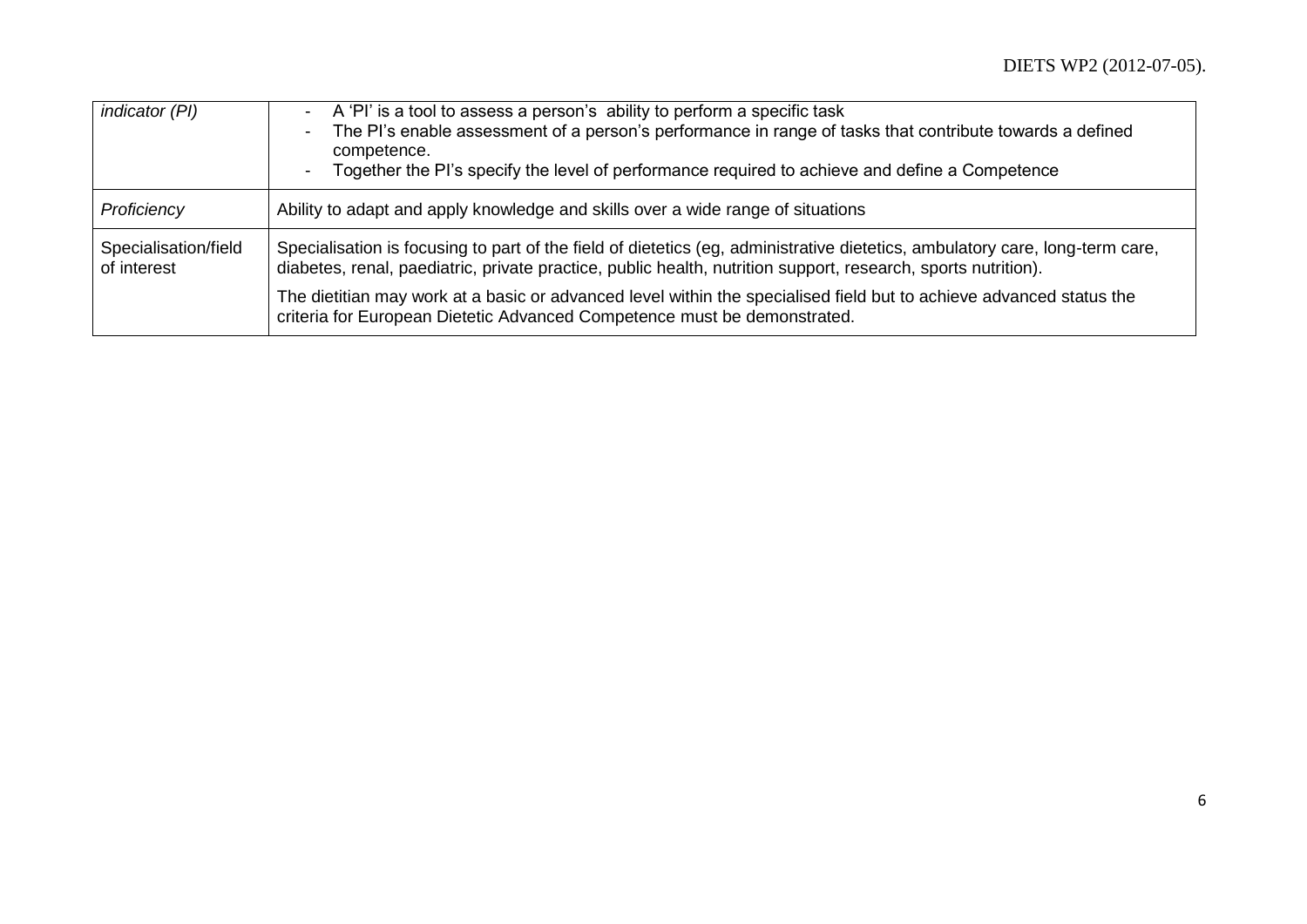| indicator (PI)                      | A 'Pl' is a tool to assess a person's ability to perform a specific task<br>The PI's enable assessment of a person's performance in range of tasks that contribute towards a defined<br>$\blacksquare$<br>competence.<br>Together the PI's specify the level of performance required to achieve and define a Competence<br>$\blacksquare$ |
|-------------------------------------|-------------------------------------------------------------------------------------------------------------------------------------------------------------------------------------------------------------------------------------------------------------------------------------------------------------------------------------------|
| Proficiency                         | Ability to adapt and apply knowledge and skills over a wide range of situations                                                                                                                                                                                                                                                           |
| Specialisation/field<br>of interest | Specialisation is focusing to part of the field of dietetics (eg, administrative dietetics, ambulatory care, long-term care,<br>diabetes, renal, paediatric, private practice, public health, nutrition support, research, sports nutrition).                                                                                             |
|                                     | The dietitian may work at a basic or advanced level within the specialised field but to achieve advanced status the<br>criteria for European Dietetic Advanced Competence must be demonstrated.                                                                                                                                           |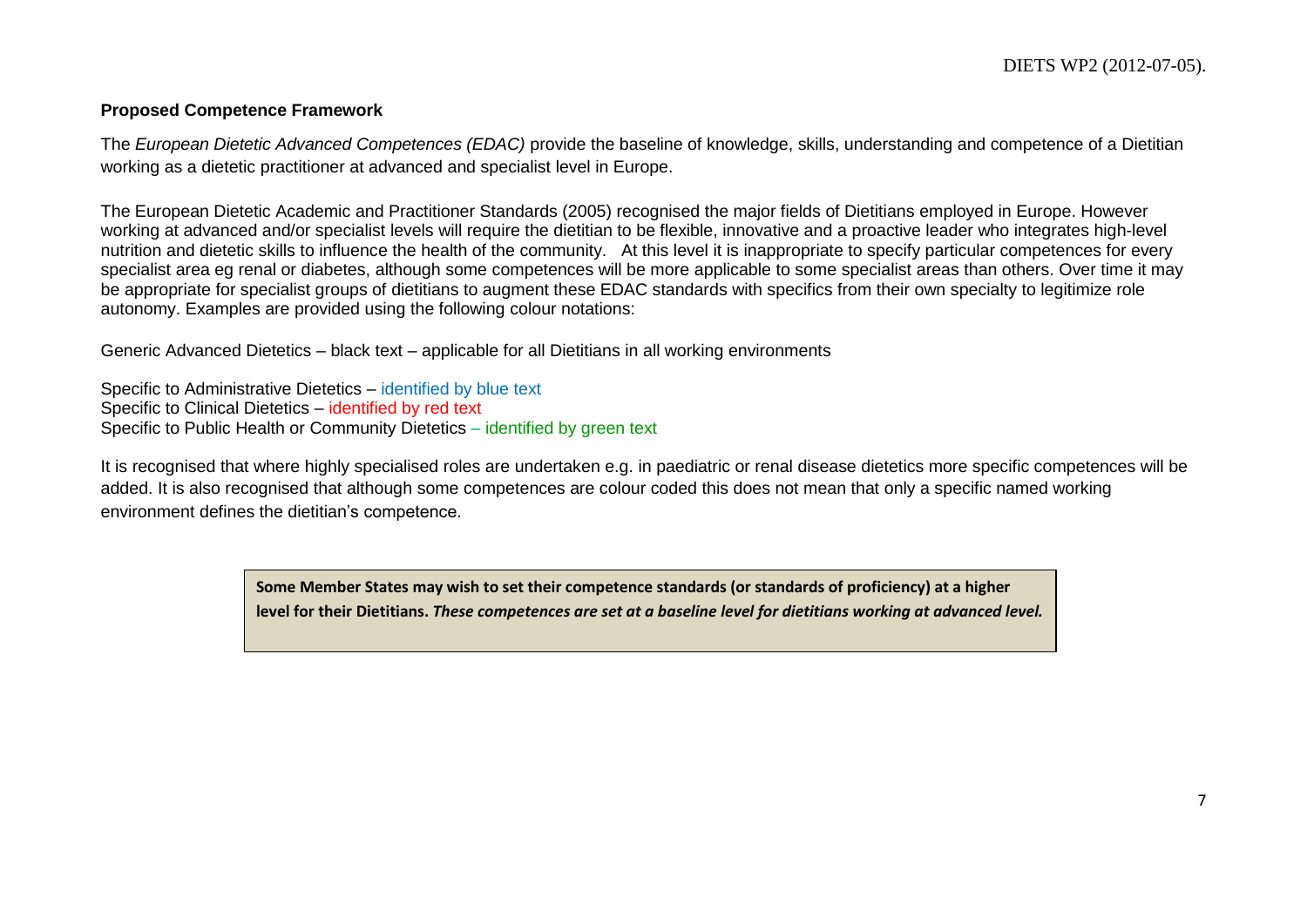#### **Proposed Competence Framework**

The *European Dietetic Advanced Competences (EDAC)* provide the baseline of knowledge, skills, understanding and competence of a Dietitian working as a dietetic practitioner at advanced and specialist level in Europe.

The European Dietetic Academic and Practitioner Standards (2005) recognised the major fields of Dietitians employed in Europe. However working at advanced and/or specialist levels will require the dietitian to be flexible, innovative and a proactive leader who integrates high-level nutrition and dietetic skills to influence the health of the community. At this level it is inappropriate to specify particular competences for every specialist area eg renal or diabetes, although some competences will be more applicable to some specialist areas than others. Over time it may be appropriate for specialist groups of dietitians to augment these EDAC standards with specifics from their own specialty to legitimize role autonomy. Examples are provided using the following colour notations:

Generic Advanced Dietetics – black text – applicable for all Dietitians in all working environments

Specific to Administrative Dietetics – identified by blue text Specific to Clinical Dietetics – identified by red text Specific to Public Health or Community Dietetics – identified by green text

It is recognised that where highly specialised roles are undertaken e.g. in paediatric or renal disease dietetics more specific competences will be added. It is also recognised that although some competences are colour coded this does not mean that only a specific named working environment defines the dietitian's competence.

> **Some Member States may wish to set their competence standards (or standards of proficiency) at a higher level for their Dietitians.** *These competences are set at a baseline level for dietitians working at advanced level.*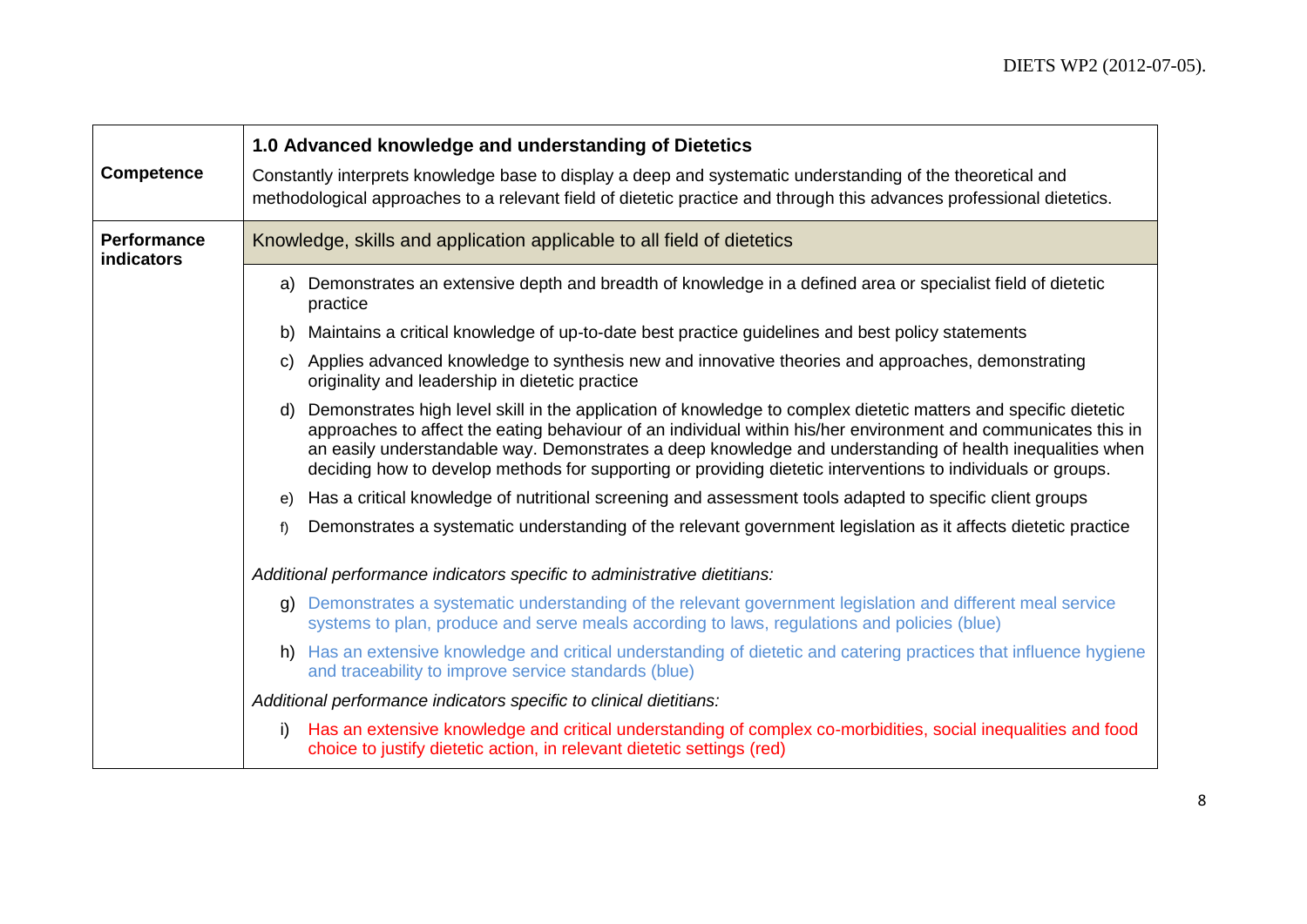| <b>Competence</b>                | 1.0 Advanced knowledge and understanding of Dietetics<br>Constantly interprets knowledge base to display a deep and systematic understanding of the theoretical and<br>methodological approaches to a relevant field of dietetic practice and through this advances professional dietetics.                                                                                                                                                                          |
|----------------------------------|----------------------------------------------------------------------------------------------------------------------------------------------------------------------------------------------------------------------------------------------------------------------------------------------------------------------------------------------------------------------------------------------------------------------------------------------------------------------|
| <b>Performance</b><br>indicators | Knowledge, skills and application applicable to all field of dietetics                                                                                                                                                                                                                                                                                                                                                                                               |
|                                  | Demonstrates an extensive depth and breadth of knowledge in a defined area or specialist field of dietetic<br>a)<br>practice                                                                                                                                                                                                                                                                                                                                         |
|                                  | Maintains a critical knowledge of up-to-date best practice guidelines and best policy statements<br>b)                                                                                                                                                                                                                                                                                                                                                               |
|                                  | Applies advanced knowledge to synthesis new and innovative theories and approaches, demonstrating<br>C)<br>originality and leadership in dietetic practice                                                                                                                                                                                                                                                                                                           |
|                                  | Demonstrates high level skill in the application of knowledge to complex dietetic matters and specific dietetic<br>d)<br>approaches to affect the eating behaviour of an individual within his/her environment and communicates this in<br>an easily understandable way. Demonstrates a deep knowledge and understanding of health inequalities when<br>deciding how to develop methods for supporting or providing dietetic interventions to individuals or groups. |
|                                  | Has a critical knowledge of nutritional screening and assessment tools adapted to specific client groups<br>e)                                                                                                                                                                                                                                                                                                                                                       |
|                                  | Demonstrates a systematic understanding of the relevant government legislation as it affects dietetic practice<br>f)                                                                                                                                                                                                                                                                                                                                                 |
|                                  | Additional performance indicators specific to administrative dietitians:                                                                                                                                                                                                                                                                                                                                                                                             |
|                                  | g) Demonstrates a systematic understanding of the relevant government legislation and different meal service<br>systems to plan, produce and serve meals according to laws, regulations and policies (blue)                                                                                                                                                                                                                                                          |
|                                  | h) Has an extensive knowledge and critical understanding of dietetic and catering practices that influence hygiene<br>and traceability to improve service standards (blue)                                                                                                                                                                                                                                                                                           |
|                                  | Additional performance indicators specific to clinical dietitians:                                                                                                                                                                                                                                                                                                                                                                                                   |
|                                  | Has an extensive knowledge and critical understanding of complex co-morbidities, social inequalities and food<br>i)<br>choice to justify dietetic action, in relevant dietetic settings (red)                                                                                                                                                                                                                                                                        |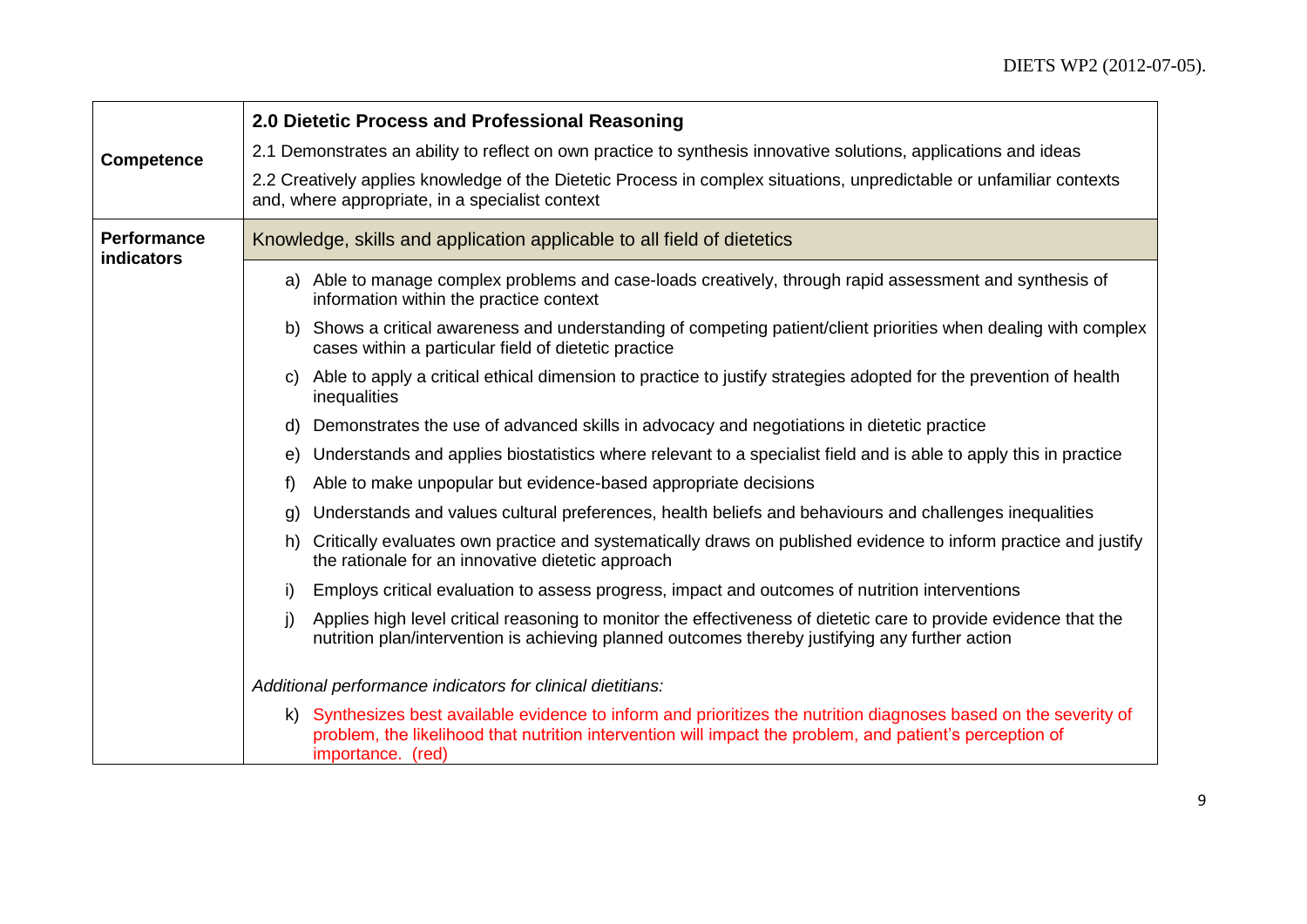|                                  | 2.0 Dietetic Process and Professional Reasoning                                                                                                                                                                                                    |
|----------------------------------|----------------------------------------------------------------------------------------------------------------------------------------------------------------------------------------------------------------------------------------------------|
| <b>Competence</b>                | 2.1 Demonstrates an ability to reflect on own practice to synthesis innovative solutions, applications and ideas                                                                                                                                   |
|                                  | 2.2 Creatively applies knowledge of the Dietetic Process in complex situations, unpredictable or unfamiliar contexts<br>and, where appropriate, in a specialist context                                                                            |
| <b>Performance</b><br>indicators | Knowledge, skills and application applicable to all field of dietetics                                                                                                                                                                             |
|                                  | a) Able to manage complex problems and case-loads creatively, through rapid assessment and synthesis of<br>information within the practice context                                                                                                 |
|                                  | Shows a critical awareness and understanding of competing patient/client priorities when dealing with complex<br>b)<br>cases within a particular field of dietetic practice                                                                        |
|                                  | Able to apply a critical ethical dimension to practice to justify strategies adopted for the prevention of health<br>C)<br>inequalities                                                                                                            |
|                                  | Demonstrates the use of advanced skills in advocacy and negotiations in dietetic practice<br>d)                                                                                                                                                    |
|                                  | Understands and applies biostatistics where relevant to a specialist field and is able to apply this in practice<br>e)                                                                                                                             |
|                                  | Able to make unpopular but evidence-based appropriate decisions<br>f)                                                                                                                                                                              |
|                                  | Understands and values cultural preferences, health beliefs and behaviours and challenges inequalities<br>g)                                                                                                                                       |
|                                  | Critically evaluates own practice and systematically draws on published evidence to inform practice and justify<br>h)<br>the rationale for an innovative dietetic approach                                                                         |
|                                  | i)<br>Employs critical evaluation to assess progress, impact and outcomes of nutrition interventions                                                                                                                                               |
|                                  | Applies high level critical reasoning to monitor the effectiveness of dietetic care to provide evidence that the<br>j)<br>nutrition plan/intervention is achieving planned outcomes thereby justifying any further action                          |
|                                  | Additional performance indicators for clinical dietitians:                                                                                                                                                                                         |
|                                  | k) Synthesizes best available evidence to inform and prioritizes the nutrition diagnoses based on the severity of<br>problem, the likelihood that nutrition intervention will impact the problem, and patient's perception of<br>importance. (red) |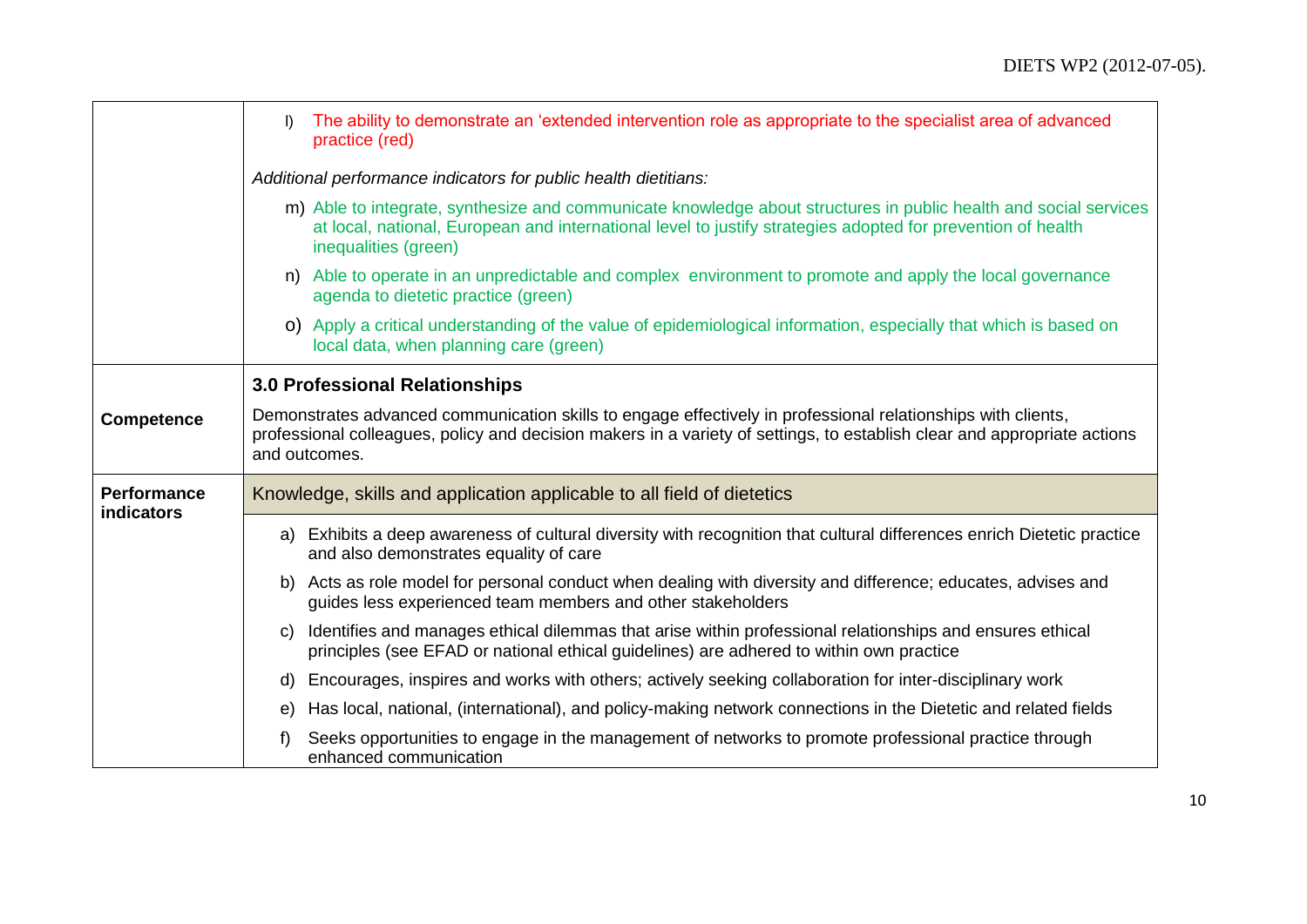|                                  | The ability to demonstrate an 'extended intervention role as appropriate to the specialist area of advanced<br>$\mathsf{D}$<br>practice (red)                                                                                                             |
|----------------------------------|-----------------------------------------------------------------------------------------------------------------------------------------------------------------------------------------------------------------------------------------------------------|
|                                  | Additional performance indicators for public health dietitians:                                                                                                                                                                                           |
|                                  | m) Able to integrate, synthesize and communicate knowledge about structures in public health and social services<br>at local, national, European and international level to justify strategies adopted for prevention of health<br>inequalities (green)   |
|                                  | n) Able to operate in an unpredictable and complex environment to promote and apply the local governance<br>agenda to dietetic practice (green)                                                                                                           |
|                                  | o) Apply a critical understanding of the value of epidemiological information, especially that which is based on<br>local data, when planning care (green)                                                                                                |
|                                  | 3.0 Professional Relationships                                                                                                                                                                                                                            |
| <b>Competence</b>                | Demonstrates advanced communication skills to engage effectively in professional relationships with clients,<br>professional colleagues, policy and decision makers in a variety of settings, to establish clear and appropriate actions<br>and outcomes. |
| <b>Performance</b><br>indicators | Knowledge, skills and application applicable to all field of dietetics                                                                                                                                                                                    |
|                                  | a) Exhibits a deep awareness of cultural diversity with recognition that cultural differences enrich Dietetic practice<br>and also demonstrates equality of care                                                                                          |
|                                  | b) Acts as role model for personal conduct when dealing with diversity and difference; educates, advises and<br>guides less experienced team members and other stakeholders                                                                               |
|                                  | Identifies and manages ethical dilemmas that arise within professional relationships and ensures ethical<br>C)<br>principles (see EFAD or national ethical guidelines) are adhered to within own practice                                                 |
|                                  | Encourages, inspires and works with others; actively seeking collaboration for inter-disciplinary work<br>d)                                                                                                                                              |
|                                  | Has local, national, (international), and policy-making network connections in the Dietetic and related fields<br>e)                                                                                                                                      |
|                                  | Seeks opportunities to engage in the management of networks to promote professional practice through<br>f)<br>enhanced communication                                                                                                                      |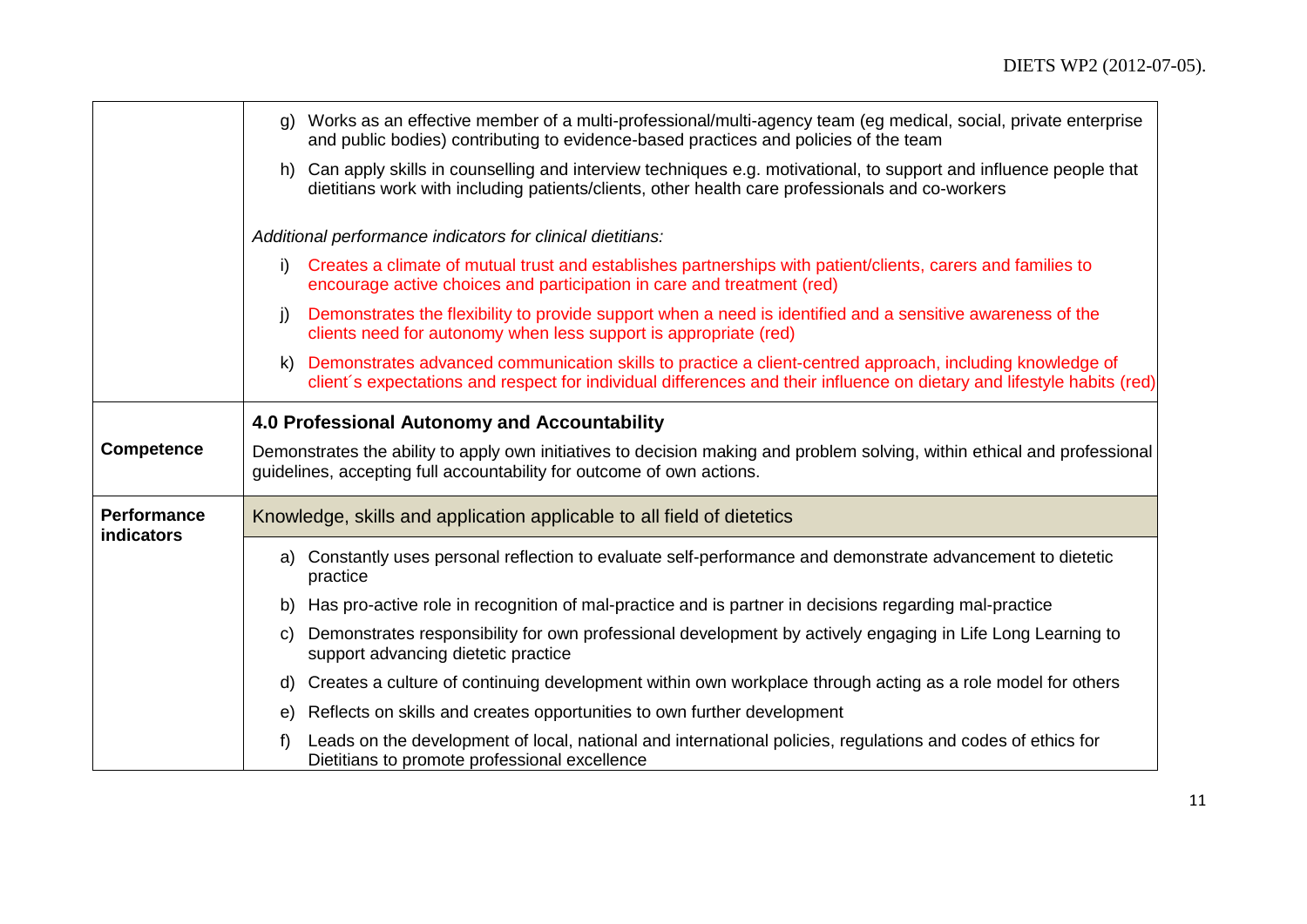|                                  | g) Works as an effective member of a multi-professional/multi-agency team (eg medical, social, private enterprise<br>and public bodies) contributing to evidence-based practices and policies of the team                                |
|----------------------------------|------------------------------------------------------------------------------------------------------------------------------------------------------------------------------------------------------------------------------------------|
|                                  | h) Can apply skills in counselling and interview techniques e.g. motivational, to support and influence people that<br>dietitians work with including patients/clients, other health care professionals and co-workers                   |
|                                  | Additional performance indicators for clinical dietitians:                                                                                                                                                                               |
|                                  | Creates a climate of mutual trust and establishes partnerships with patient/clients, carers and families to<br>i)<br>encourage active choices and participation in care and treatment (red)                                              |
|                                  | Demonstrates the flexibility to provide support when a need is identified and a sensitive awareness of the<br><sup>i</sup><br>clients need for autonomy when less support is appropriate (red)                                           |
|                                  | Demonstrates advanced communication skills to practice a client-centred approach, including knowledge of<br>k)<br>client's expectations and respect for individual differences and their influence on dietary and lifestyle habits (red) |
|                                  | 4.0 Professional Autonomy and Accountability                                                                                                                                                                                             |
| <b>Competence</b>                | Demonstrates the ability to apply own initiatives to decision making and problem solving, within ethical and professional<br>guidelines, accepting full accountability for outcome of own actions.                                       |
| <b>Performance</b><br>indicators | Knowledge, skills and application applicable to all field of dietetics                                                                                                                                                                   |
|                                  | a) Constantly uses personal reflection to evaluate self-performance and demonstrate advancement to dietetic<br>practice                                                                                                                  |
|                                  | Has pro-active role in recognition of mal-practice and is partner in decisions regarding mal-practice<br>b)                                                                                                                              |
|                                  | Demonstrates responsibility for own professional development by actively engaging in Life Long Learning to<br>C)<br>support advancing dietetic practice                                                                                  |
|                                  | Creates a culture of continuing development within own workplace through acting as a role model for others<br>d)                                                                                                                         |
|                                  | Reflects on skills and creates opportunities to own further development<br>e)                                                                                                                                                            |
|                                  | Leads on the development of local, national and international policies, regulations and codes of ethics for<br>f)<br>Dietitians to promote professional excellence                                                                       |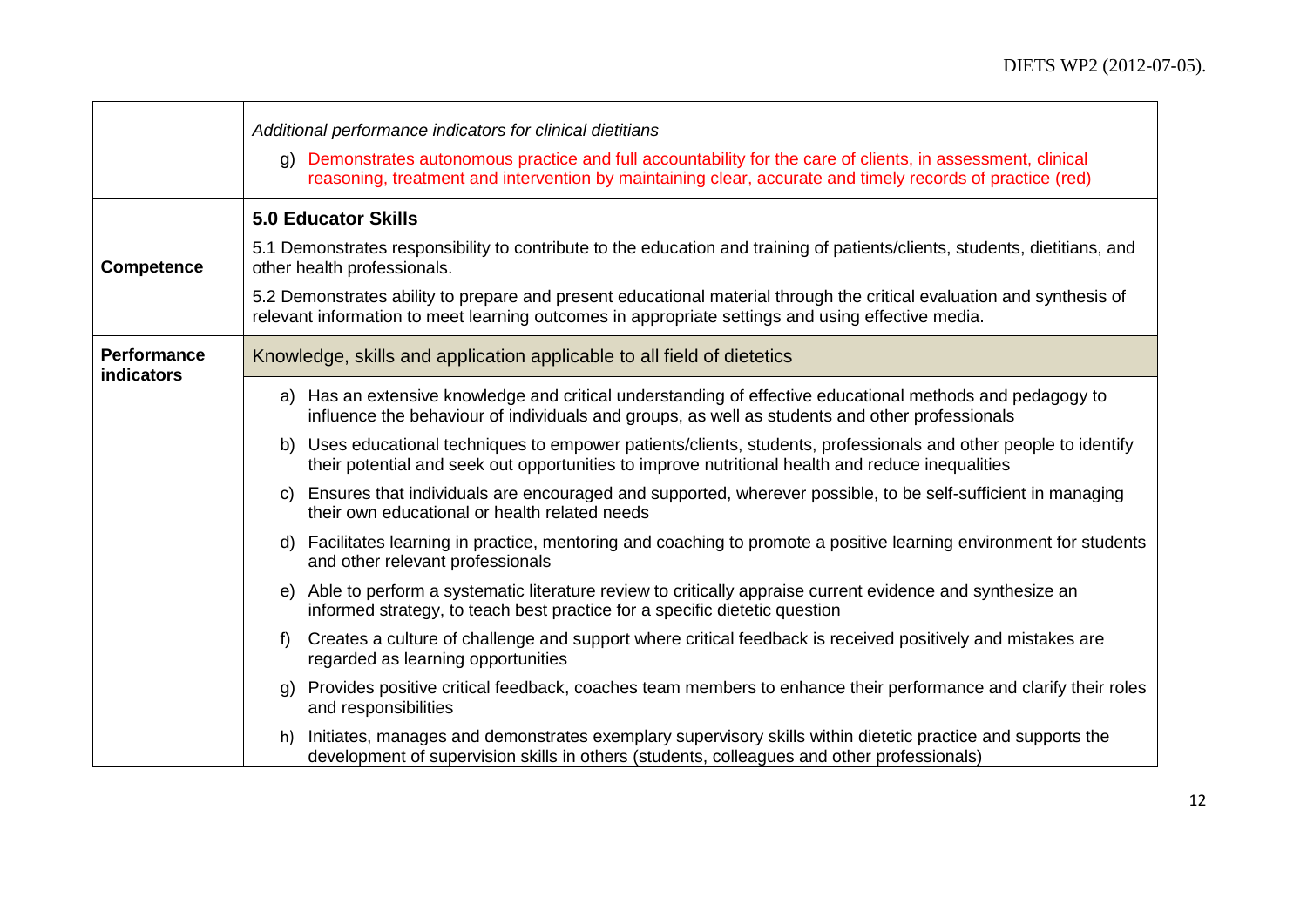|                                         | Additional performance indicators for clinical dietitians                                                                                                                                                                  |  |
|-----------------------------------------|----------------------------------------------------------------------------------------------------------------------------------------------------------------------------------------------------------------------------|--|
|                                         | g) Demonstrates autonomous practice and full accountability for the care of clients, in assessment, clinical<br>reasoning, treatment and intervention by maintaining clear, accurate and timely records of practice (red)  |  |
|                                         | <b>5.0 Educator Skills</b>                                                                                                                                                                                                 |  |
| <b>Competence</b>                       | 5.1 Demonstrates responsibility to contribute to the education and training of patients/clients, students, dietitians, and<br>other health professionals.                                                                  |  |
|                                         | 5.2 Demonstrates ability to prepare and present educational material through the critical evaluation and synthesis of<br>relevant information to meet learning outcomes in appropriate settings and using effective media. |  |
| <b>Performance</b><br><b>indicators</b> | Knowledge, skills and application applicable to all field of dietetics                                                                                                                                                     |  |
|                                         | a) Has an extensive knowledge and critical understanding of effective educational methods and pedagogy to<br>influence the behaviour of individuals and groups, as well as students and other professionals                |  |
|                                         | b) Uses educational techniques to empower patients/clients, students, professionals and other people to identify<br>their potential and seek out opportunities to improve nutritional health and reduce inequalities       |  |
|                                         | Ensures that individuals are encouraged and supported, wherever possible, to be self-sufficient in managing<br>C)<br>their own educational or health related needs                                                         |  |
|                                         | Facilitates learning in practice, mentoring and coaching to promote a positive learning environment for students<br>d)<br>and other relevant professionals                                                                 |  |
|                                         | e) Able to perform a systematic literature review to critically appraise current evidence and synthesize an<br>informed strategy, to teach best practice for a specific dietetic question                                  |  |
|                                         | Creates a culture of challenge and support where critical feedback is received positively and mistakes are<br>f<br>regarded as learning opportunities                                                                      |  |
|                                         | Provides positive critical feedback, coaches team members to enhance their performance and clarify their roles<br>g)<br>and responsibilities                                                                               |  |
|                                         | Initiates, manages and demonstrates exemplary supervisory skills within dietetic practice and supports the<br>h)<br>development of supervision skills in others (students, colleagues and other professionals)             |  |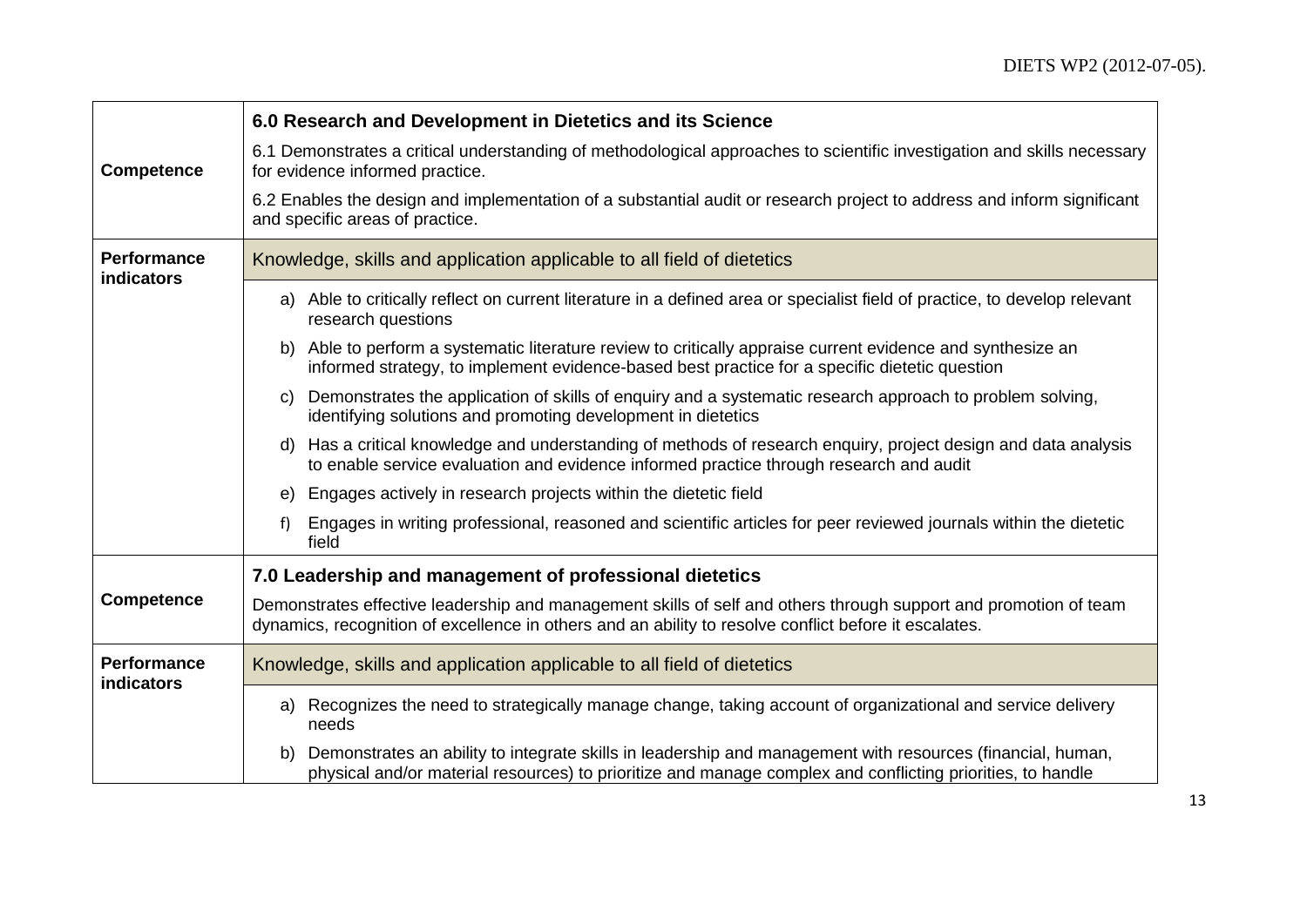|                                  | 6.0 Research and Development in Dietetics and its Science                                                                                                                                                                      |  |
|----------------------------------|--------------------------------------------------------------------------------------------------------------------------------------------------------------------------------------------------------------------------------|--|
| <b>Competence</b>                | 6.1 Demonstrates a critical understanding of methodological approaches to scientific investigation and skills necessary<br>for evidence informed practice.                                                                     |  |
|                                  | 6.2 Enables the design and implementation of a substantial audit or research project to address and inform significant<br>and specific areas of practice.                                                                      |  |
| <b>Performance</b><br>indicators | Knowledge, skills and application applicable to all field of dietetics                                                                                                                                                         |  |
|                                  | a) Able to critically reflect on current literature in a defined area or specialist field of practice, to develop relevant<br>research questions                                                                               |  |
|                                  | b) Able to perform a systematic literature review to critically appraise current evidence and synthesize an<br>informed strategy, to implement evidence-based best practice for a specific dietetic question                   |  |
|                                  | Demonstrates the application of skills of enquiry and a systematic research approach to problem solving,<br>C)<br>identifying solutions and promoting development in dietetics                                                 |  |
|                                  | Has a critical knowledge and understanding of methods of research enquiry, project design and data analysis<br>d)<br>to enable service evaluation and evidence informed practice through research and audit                    |  |
|                                  | Engages actively in research projects within the dietetic field<br>e)                                                                                                                                                          |  |
|                                  | Engages in writing professional, reasoned and scientific articles for peer reviewed journals within the dietetic<br>f)<br>field                                                                                                |  |
|                                  | 7.0 Leadership and management of professional dietetics                                                                                                                                                                        |  |
| <b>Competence</b>                | Demonstrates effective leadership and management skills of self and others through support and promotion of team<br>dynamics, recognition of excellence in others and an ability to resolve conflict before it escalates.      |  |
| <b>Performance</b><br>indicators | Knowledge, skills and application applicable to all field of dietetics                                                                                                                                                         |  |
|                                  | a) Recognizes the need to strategically manage change, taking account of organizational and service delivery<br>needs                                                                                                          |  |
|                                  | Demonstrates an ability to integrate skills in leadership and management with resources (financial, human,<br>b)<br>physical and/or material resources) to prioritize and manage complex and conflicting priorities, to handle |  |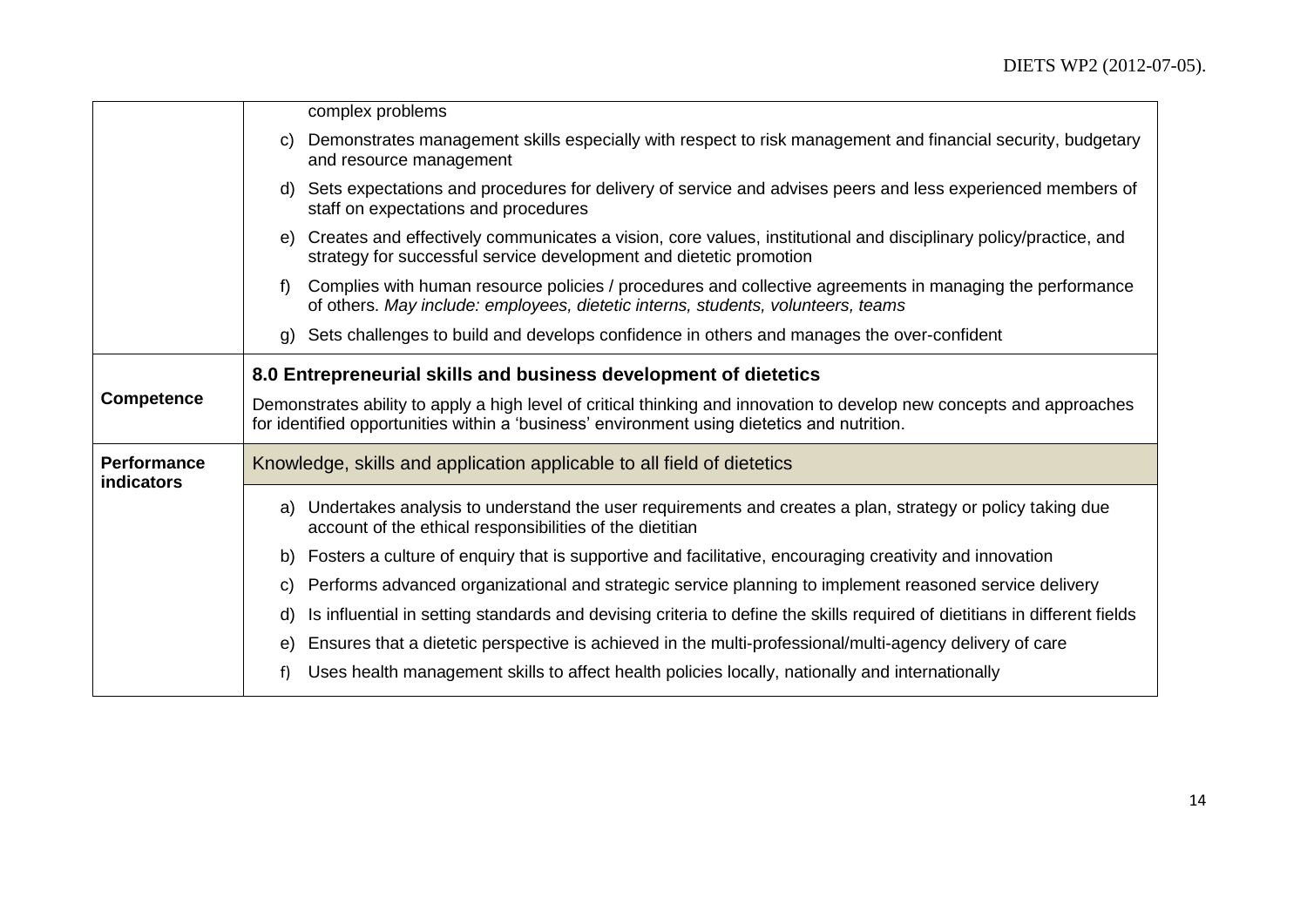|                                         | complex problems                                                                                                                                                                                                     |
|-----------------------------------------|----------------------------------------------------------------------------------------------------------------------------------------------------------------------------------------------------------------------|
|                                         | Demonstrates management skills especially with respect to risk management and financial security, budgetary<br>C)<br>and resource management                                                                         |
|                                         | Sets expectations and procedures for delivery of service and advises peers and less experienced members of<br>d)<br>staff on expectations and procedures                                                             |
|                                         | Creates and effectively communicates a vision, core values, institutional and disciplinary policy/practice, and<br>e)<br>strategy for successful service development and dietetic promotion                          |
|                                         | Complies with human resource policies / procedures and collective agreements in managing the performance<br>f<br>of others. May include: employees, dietetic interns, students, volunteers, teams                    |
|                                         | Sets challenges to build and develops confidence in others and manages the over-confident<br>g)                                                                                                                      |
|                                         | 8.0 Entrepreneurial skills and business development of dietetics                                                                                                                                                     |
| <b>Competence</b>                       | Demonstrates ability to apply a high level of critical thinking and innovation to develop new concepts and approaches<br>for identified opportunities within a 'business' environment using dietetics and nutrition. |
| <b>Performance</b><br><b>indicators</b> | Knowledge, skills and application applicable to all field of dietetics                                                                                                                                               |
|                                         | a) Undertakes analysis to understand the user requirements and creates a plan, strategy or policy taking due<br>account of the ethical responsibilities of the dietitian                                             |
|                                         | Fosters a culture of enquiry that is supportive and facilitative, encouraging creativity and innovation<br>b)                                                                                                        |
|                                         | Performs advanced organizational and strategic service planning to implement reasoned service delivery<br>C)                                                                                                         |
|                                         | Is influential in setting standards and devising criteria to define the skills required of dietitians in different fields<br>d)                                                                                      |
|                                         | Ensures that a dietetic perspective is achieved in the multi-professional/multi-agency delivery of care<br>e)                                                                                                        |
|                                         | Uses health management skills to affect health policies locally, nationally and internationally<br>f)                                                                                                                |